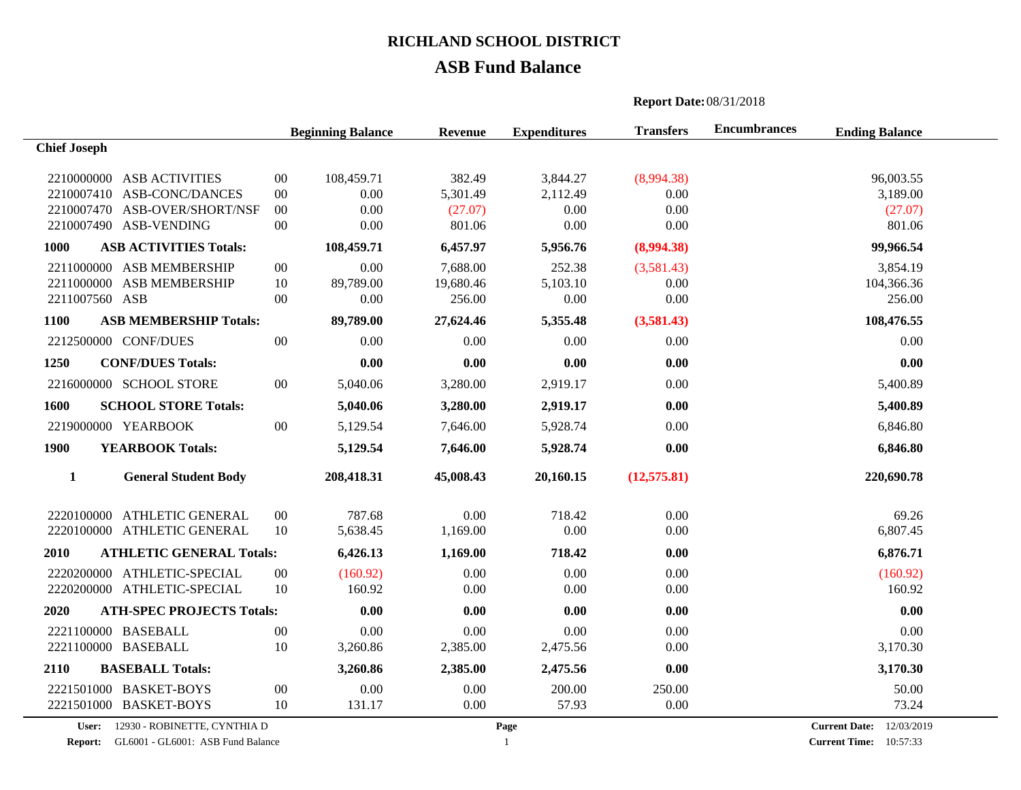# **ASB Fund Balance**

|                                                                                                                             |                                      | <b>Report Date: 08/31/2018</b>         |                                              |                                        |                                          |                     |                                                |  |
|-----------------------------------------------------------------------------------------------------------------------------|--------------------------------------|----------------------------------------|----------------------------------------------|----------------------------------------|------------------------------------------|---------------------|------------------------------------------------|--|
|                                                                                                                             |                                      | <b>Beginning Balance</b>               | <b>Revenue</b>                               | <b>Expenditures</b>                    | <b>Transfers</b>                         | <b>Encumbrances</b> | <b>Ending Balance</b>                          |  |
| <b>Chief Joseph</b>                                                                                                         |                                      |                                        |                                              |                                        |                                          |                     |                                                |  |
| 2210000000 ASB ACTIVITIES<br>2210007410 ASB-CONC/DANCES<br>2210007470 ASB-OVER/SHORT/NSF<br>2210007490 ASB-VENDING          | $00\,$<br>$00\,$<br>$00\,$<br>$00\,$ | 108,459.71<br>0.00<br>0.00<br>0.00     | 382.49<br>5,301.49<br>(27.07)<br>801.06      | 3,844.27<br>2,112.49<br>0.00<br>0.00   | (8,994.38)<br>0.00<br>0.00<br>0.00       |                     | 96,003.55<br>3,189.00<br>(27.07)<br>801.06     |  |
| <b>ASB ACTIVITIES Totals:</b><br><b>1000</b>                                                                                |                                      | 108,459.71                             | 6,457.97                                     | 5,956.76                               | (8,994.38)                               |                     | 99,966.54                                      |  |
| 2211000000 ASB MEMBERSHIP<br><b>ASB MEMBERSHIP</b><br>2211000000<br>2211007560 ASB<br>1100<br><b>ASB MEMBERSHIP Totals:</b> | $00\,$<br>10<br>$00\,$               | 0.00<br>89,789.00<br>0.00<br>89,789.00 | 7,688.00<br>19,680.46<br>256.00<br>27,624.46 | 252.38<br>5,103.10<br>0.00<br>5,355.48 | (3,581.43)<br>0.00<br>0.00<br>(3,581.43) |                     | 3,854.19<br>104,366.36<br>256.00<br>108,476.55 |  |
| 2212500000 CONF/DUES                                                                                                        | $00\,$                               | 0.00                                   | 0.00                                         | 0.00                                   | 0.00                                     |                     | 0.00                                           |  |
| 1250<br><b>CONF/DUES Totals:</b>                                                                                            |                                      | 0.00                                   | 0.00                                         | 0.00                                   | 0.00                                     |                     | 0.00                                           |  |
| 2216000000 SCHOOL STORE                                                                                                     | $00\,$                               | 5,040.06                               | 3,280.00                                     | 2,919.17                               | 0.00                                     |                     | 5,400.89                                       |  |
| 1600<br><b>SCHOOL STORE Totals:</b>                                                                                         |                                      | 5,040.06                               | 3,280.00                                     | 2,919.17                               | 0.00                                     |                     | 5,400.89                                       |  |
| 2219000000 YEARBOOK                                                                                                         | 00                                   | 5,129.54                               | 7,646.00                                     | 5,928.74                               | 0.00                                     |                     | 6,846.80                                       |  |
| 1900<br><b>YEARBOOK Totals:</b>                                                                                             |                                      | 5,129.54                               | 7,646.00                                     | 5,928.74                               | 0.00                                     |                     | 6,846.80                                       |  |
| $\mathbf{1}$<br><b>General Student Body</b>                                                                                 |                                      | 208,418.31                             | 45,008.43                                    | 20,160.15                              | (12,575.81)                              |                     | 220,690.78                                     |  |
| <b>ATHLETIC GENERAL</b><br>2220100000<br>2220100000 ATHLETIC GENERAL                                                        | $00\,$<br>10                         | 787.68<br>5,638.45                     | 0.00<br>1,169.00                             | 718.42<br>0.00                         | 0.00<br>0.00                             |                     | 69.26<br>6,807.45                              |  |
| 2010<br><b>ATHLETIC GENERAL Totals:</b>                                                                                     |                                      | 6,426.13                               | 1,169.00                                     | 718.42                                 | 0.00                                     |                     | 6,876.71                                       |  |
| 2220200000 ATHLETIC-SPECIAL<br>2220200000 ATHLETIC-SPECIAL                                                                  | $00\,$<br>10                         | (160.92)<br>160.92                     | 0.00<br>0.00                                 | 0.00<br>0.00                           | 0.00<br>0.00                             |                     | (160.92)<br>160.92                             |  |
| <b>ATH-SPEC PROJECTS Totals:</b><br>2020                                                                                    |                                      | 0.00                                   | 0.00                                         | 0.00                                   | 0.00                                     |                     | 0.00                                           |  |
| 2221100000 BASEBALL<br>2221100000 BASEBALL                                                                                  | $00\,$<br>10                         | 0.00<br>3,260.86                       | 0.00<br>2,385.00                             | $0.00\,$<br>2,475.56                   | 0.00<br>0.00                             |                     | 0.00<br>3,170.30                               |  |
| 2110<br><b>BASEBALL Totals:</b>                                                                                             |                                      | 3,260.86                               | 2,385.00                                     | 2,475.56                               | 0.00                                     |                     | 3,170.30                                       |  |
| 2221501000 BASKET-BOYS<br>2221501000 BASKET-BOYS                                                                            | $00\,$<br>10                         | 0.00<br>131.17                         | 0.00<br>0.00                                 | 200.00<br>57.93                        | 250.00<br>0.00                           |                     | 50.00<br>73.24                                 |  |

**User:** 12930 - ROBINETTE, CYNTHIA D

**Report:** GL6001 - GL6001: ASB Fund Balance **Current Time: 1 Current Time: Current Time: 1** 

**Current Date:** 12/03/2019 **Current Time:** 10:57:33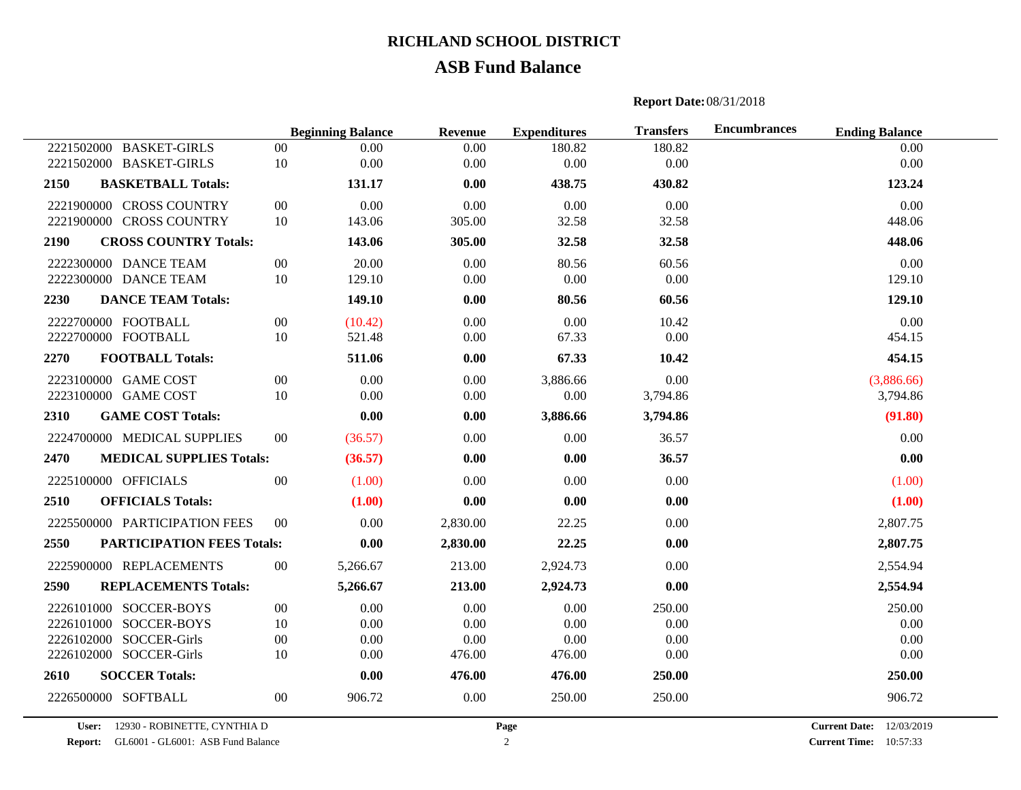# **ASB Fund Balance**

#### **Report Date:**08/31/2018

|                                           | <b>Beginning Balance</b> |          | Revenue  | <b>Expenditures</b> | <b>Transfers</b> | <b>Encumbrances</b> | <b>Ending Balance</b> |  |
|-------------------------------------------|--------------------------|----------|----------|---------------------|------------------|---------------------|-----------------------|--|
| 2221502000 BASKET-GIRLS                   | $00\,$                   | 0.00     | 0.00     | 180.82              | 180.82           |                     | 0.00                  |  |
| 2221502000 BASKET-GIRLS                   | 10                       | 0.00     | 0.00     | 0.00                | 0.00             |                     | 0.00                  |  |
| <b>BASKETBALL Totals:</b><br>2150         |                          | 131.17   | 0.00     | 438.75              | 430.82           |                     | 123.24                |  |
| 2221900000 CROSS COUNTRY                  | 00                       | 0.00     | 0.00     | 0.00                | 0.00             |                     | 0.00                  |  |
| 2221900000 CROSS COUNTRY                  | 10                       | 143.06   | 305.00   | 32.58               | 32.58            |                     | 448.06                |  |
| 2190<br><b>CROSS COUNTRY Totals:</b>      |                          | 143.06   | 305.00   | 32.58               | 32.58            |                     | 448.06                |  |
| 2222300000 DANCE TEAM                     | $00\,$                   | 20.00    | 0.00     | 80.56               | 60.56            |                     | 0.00                  |  |
| 2222300000 DANCE TEAM                     | 10                       | 129.10   | $0.00\,$ | 0.00                | 0.00             |                     | 129.10                |  |
| 2230<br><b>DANCE TEAM Totals:</b>         |                          | 149.10   | 0.00     | 80.56               | 60.56            |                     | 129.10                |  |
| 2222700000 FOOTBALL                       | $00\,$                   | (10.42)  | 0.00     | 0.00                | 10.42            |                     | 0.00                  |  |
| 2222700000 FOOTBALL                       | 10                       | 521.48   | 0.00     | 67.33               | 0.00             |                     | 454.15                |  |
| 2270<br><b>FOOTBALL Totals:</b>           |                          | 511.06   | 0.00     | 67.33               | 10.42            |                     | 454.15                |  |
| 2223100000 GAME COST                      | $00\,$                   | 0.00     | 0.00     | 3,886.66            | 0.00             |                     | (3,886.66)            |  |
| 2223100000 GAME COST                      | 10                       | 0.00     | 0.00     | 0.00                | 3,794.86         |                     | 3,794.86              |  |
| 2310<br><b>GAME COST Totals:</b>          |                          | 0.00     | 0.00     | 3,886.66            | 3,794.86         |                     | (91.80)               |  |
| 2224700000 MEDICAL SUPPLIES               | $00\,$                   | (36.57)  | 0.00     | 0.00                | 36.57            |                     | 0.00                  |  |
| <b>MEDICAL SUPPLIES Totals:</b><br>2470   |                          | (36.57)  | 0.00     | 0.00                | 36.57            |                     | 0.00                  |  |
| 2225100000 OFFICIALS                      | $00\,$                   | (1.00)   | 0.00     | 0.00                | 0.00             |                     | (1.00)                |  |
| 2510<br><b>OFFICIALS Totals:</b>          |                          | (1.00)   | 0.00     | 0.00                | 0.00             |                     | (1.00)                |  |
| 2225500000 PARTICIPATION FEES             | $00\,$                   | 0.00     | 2,830.00 | 22.25               | 0.00             |                     | 2,807.75              |  |
| <b>PARTICIPATION FEES Totals:</b><br>2550 |                          | 0.00     | 2,830.00 | 22.25               | 0.00             |                     | 2,807.75              |  |
| 2225900000 REPLACEMENTS                   | $00\,$                   | 5,266.67 | 213.00   | 2,924.73            | 0.00             |                     | 2,554.94              |  |
| 2590<br><b>REPLACEMENTS Totals:</b>       |                          | 5,266.67 | 213.00   | 2,924.73            | 0.00             |                     | 2,554.94              |  |
| 2226101000 SOCCER-BOYS                    | 00                       | 0.00     | 0.00     | 0.00                | 250.00           |                     | 250.00                |  |
| 2226101000 SOCCER-BOYS                    | 10                       | 0.00     | 0.00     | 0.00                | 0.00             |                     | 0.00                  |  |
| 2226102000 SOCCER-Girls                   | $00\,$                   | 0.00     | 0.00     | 0.00                | 0.00             |                     | 0.00                  |  |
| 2226102000 SOCCER-Girls                   | 10                       | 0.00     | 476.00   | 476.00              | 0.00             |                     | 0.00                  |  |
| <b>SOCCER Totals:</b><br>2610             |                          | 0.00     | 476.00   | 476.00              | 250.00           |                     | 250.00                |  |
| 2226500000 SOFTBALL                       | $00\,$                   | 906.72   | 0.00     | 250.00              | 250.00           |                     | 906.72                |  |

**User:** 12930 - ROBINETTE, CYNTHIA D

**Report:** GL6001 - GL6001: ASB Fund Balance **Current Time:** 2

**Current Date:** 12/03/2019 **Current Time:** 10:57:33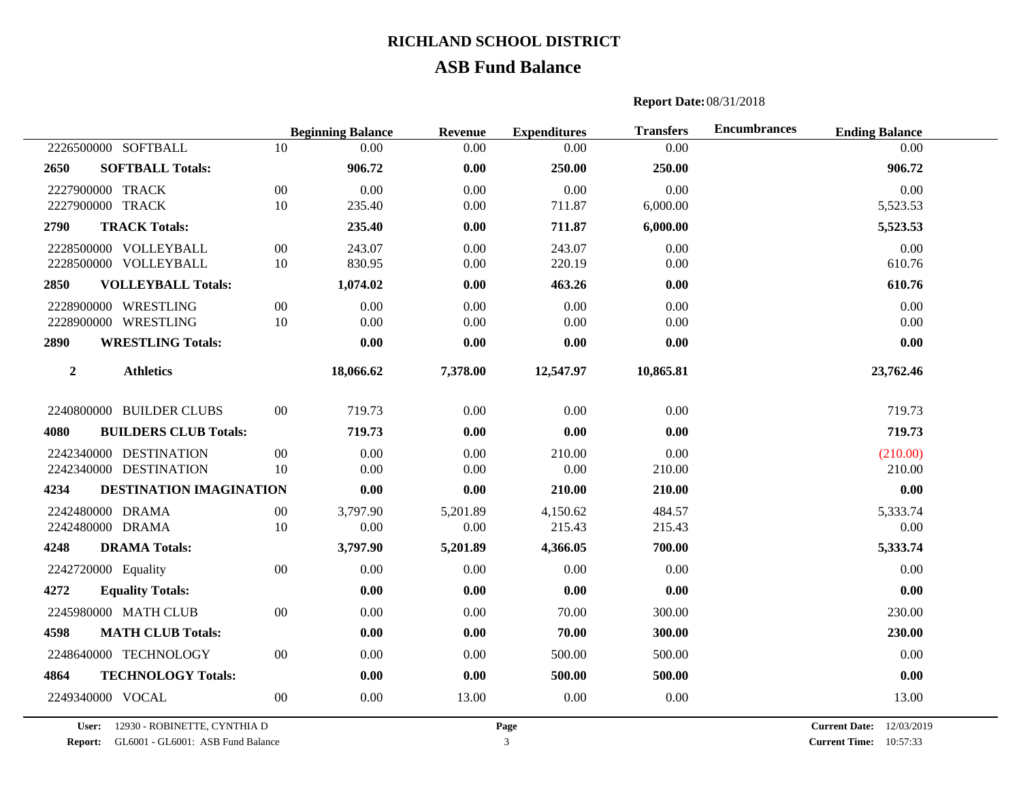## **ASB Fund Balance**

# **Beginning Balance Revenue Expenditures Transfers Encumbrances Ending Balance** SOFTBALL 10 0.00 0.00 0.00 0.00 0.00 **SOFTBALL Totals: 906.72 0.00 250.00 250.00 906.72** TRACK 00 0.00 0.00 0.00 0.00 0.00 2227900000 TRACK 10 235.40 0.00 711.87 6.000.00 5.523.53 **TRACK Totals: 235.40 0.00 711.87 6,000.00 5,523.53** VOLLEYBALL 00 243.07 0.00 243.07 0.00 0.00 VOLLEYBALL 10 830.95 0.00 220.19 0.00 610.76 **VOLLEYBALL Totals: 1,074.02 0.00 463.26 0.00 610.76** WRESTLING 00 0.00 0.00 0.00 0.00 0.00 WRESTLING 10 0.00 0.00 0.00 0.00 0.00 **WRESTLING Totals: 0.00 0.00 0.00 0.00 0.00 Athletics 18,066.62 7,378.00 12,547.97 10,865.81 23,762.46** 2240800000 BUILDER CLUBS 00 719.73 0.00 0.00 0.00 0.00 719.73 **BUILDERS CLUB Totals: 719.73 0.00 0.00 0.00 719.73** DESTINATION 00 0.00 0.00 210.00 0.00 (210.00) DESTINATION 10 0.00 0.00 0.00 210.00 210.00 **DESTINATION IMAGINATION 0.00 0.00 210.00 210.00 0.00** 2242480000 DRAMA 00 3.797.90 5.201.89 4.150.62 484.57 5.333.74 5.333.74 DRAMA 10 0.00 0.00 215.43 215.43 0.00 **DRAMA Totals: 3,797.90 5,201.89 4,366.05 700.00 5,333.74** 2242720000 Equality  $0.00$   $0.00$   $0.00$   $0.00$   $0.00$   $0.00$   $0.00$   $0.00$  **Equality Totals: 0.00 0.00 0.00 0.00 0.00** 2245980000 MATH CLUB 00 0.00 0.00 70.00 300.00 0.00 230.00 **MATH CLUB Totals: 0.00 0.00 70.00 300.00 230.00** TECHNOLOGY 00 0.00 0.00 500.00 500.00 0.00 **TECHNOLOGY Totals: 0.00 0.00 500.00 500.00 0.00** VOCAL 00 0.00 13.00 0.00 0.00 13.00

#### **Report Date:**08/31/2018

**User:** 12930 - ROBINETTE, CYNTHIA D

**Report:** GL6001 - GL6001: ASB Fund Balance **Current Time:** 3